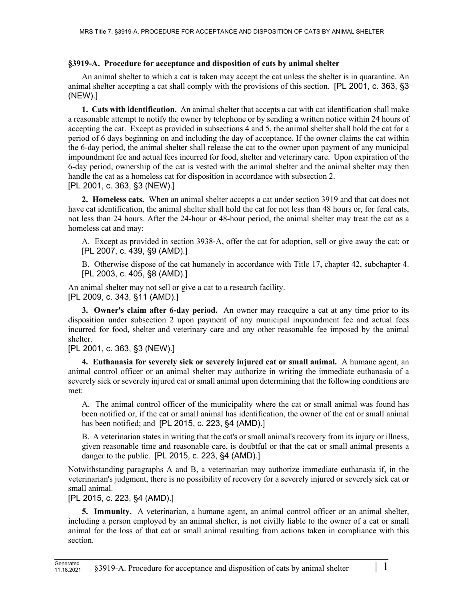## **§3919-A. Procedure for acceptance and disposition of cats by animal shelter**

An animal shelter to which a cat is taken may accept the cat unless the shelter is in quarantine. An animal shelter accepting a cat shall comply with the provisions of this section. [PL 2001, c. 363, §3 (NEW).]

**1. Cats with identification.** An animal shelter that accepts a cat with cat identification shall make a reasonable attempt to notify the owner by telephone or by sending a written notice within 24 hours of accepting the cat. Except as provided in subsections 4 and 5, the animal shelter shall hold the cat for a period of 6 days beginning on and including the day of acceptance. If the owner claims the cat within the 6-day period, the animal shelter shall release the cat to the owner upon payment of any municipal impoundment fee and actual fees incurred for food, shelter and veterinary care. Upon expiration of the 6-day period, ownership of the cat is vested with the animal shelter and the animal shelter may then handle the cat as a homeless cat for disposition in accordance with subsection 2.

[PL 2001, c. 363, §3 (NEW).]

**2. Homeless cats.** When an animal shelter accepts a cat under section 3919 and that cat does not have cat identification, the animal shelter shall hold the cat for not less than 48 hours or, for feral cats, not less than 24 hours. After the 24-hour or 48-hour period, the animal shelter may treat the cat as a homeless cat and may:

A. Except as provided in section 3938‑A, offer the cat for adoption, sell or give away the cat; or [PL 2007, c. 439, §9 (AMD).]

B. Otherwise dispose of the cat humanely in accordance with Title 17, chapter 42, subchapter 4. [PL 2003, c. 405, §8 (AMD).]

An animal shelter may not sell or give a cat to a research facility. [PL 2009, c. 343, §11 (AMD).]

**3. Owner's claim after 6-day period.** An owner may reacquire a cat at any time prior to its disposition under subsection 2 upon payment of any municipal impoundment fee and actual fees incurred for food, shelter and veterinary care and any other reasonable fee imposed by the animal shelter.

[PL 2001, c. 363, §3 (NEW).]

**4. Euthanasia for severely sick or severely injured cat or small animal.** A humane agent, an animal control officer or an animal shelter may authorize in writing the immediate euthanasia of a severely sick or severely injured cat or small animal upon determining that the following conditions are met:

A. The animal control officer of the municipality where the cat or small animal was found has been notified or, if the cat or small animal has identification, the owner of the cat or small animal has been notified; and [PL 2015, c. 223, §4 (AMD).]

B. A veterinarian states in writing that the cat's or small animal's recovery from its injury or illness, given reasonable time and reasonable care, is doubtful or that the cat or small animal presents a danger to the public. [PL 2015, c. 223, §4 (AMD).]

Notwithstanding paragraphs A and B, a veterinarian may authorize immediate euthanasia if, in the veterinarian's judgment, there is no possibility of recovery for a severely injured or severely sick cat or small animal.

[PL 2015, c. 223, §4 (AMD).]

**5. Immunity.** A veterinarian, a humane agent, an animal control officer or an animal shelter, including a person employed by an animal shelter, is not civilly liable to the owner of a cat or small animal for the loss of that cat or small animal resulting from actions taken in compliance with this section.